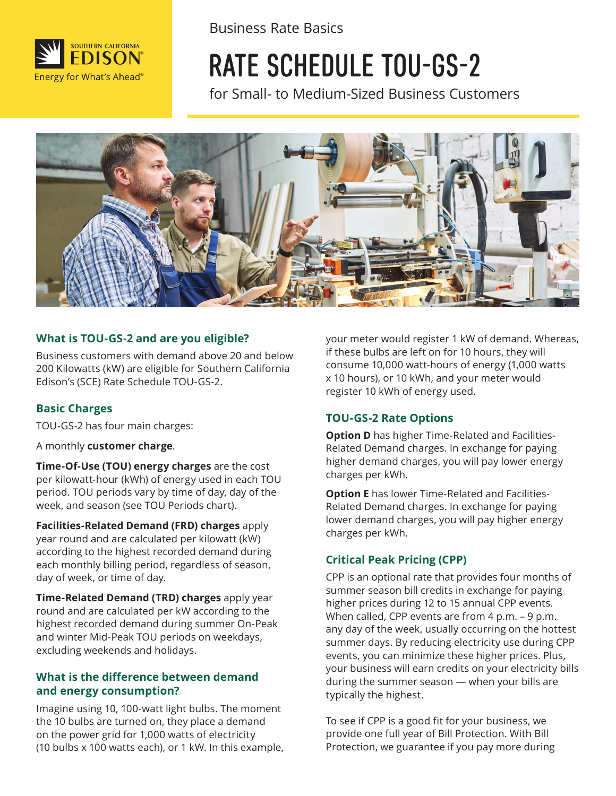

Business Rate Basics

# RATE SCHEDULE TOU-GS-2

for Small- to Medium-Sized Business Customers



#### **What is TOU-GS-2 and are you eligible?**

Business customers with demand above 20 and below 200 Kilowatts (kW) are eligible for Southern California Edison's (SCE) Rate Schedule TOU-GS-2.

#### **Basic Charges**

TOU-GS-2 has four main charges:

A monthly **customer charge**.

**Time-Of-Use (TOU) energy charges** are the cost per kilowatt-hour (kWh) of energy used in each TOU period. TOU periods vary by time of day, day of the week, and season (see TOU Periods chart).

**Facilities-Related Demand (FRD) charges** apply year round and are calculated per kilowatt (kW) according to the highest recorded demand during each monthly billing period, regardless of season, day of week, or time of day.

**Time-Related Demand (TRD) charges** apply year round and are calculated per kW according to the highest recorded demand during summer On-Peak and winter Mid-Peak TOU periods on weekdays, excluding weekends and holidays.

#### **What is the difference between demand and energy consumption?**

Imagine using 10, 100-watt light bulbs. The moment the 10 bulbs are turned on, they place a demand on the power grid for 1,000 watts of electricity (10 bulbs x 100 watts each), or 1 kW. In this example, your meter would register 1 kW of demand. Whereas, if these bulbs are left on for 10 hours, they will consume 10,000 watt-hours of energy (1,000 watts x 10 hours), or 10 kWh, and your meter would register 10 kWh of energy used.

#### **TOU-GS-2 Rate Options**

**Option D** has higher Time-Related and Facilities-Related Demand charges. In exchange for paying higher demand charges, you will pay lower energy charges per kWh.

**Option E** has lower Time-Related and Facilities-Related Demand charges. In exchange for paying lower demand charges, you will pay higher energy charges per kWh.

#### **Critical Peak Pricing (CPP)**

CPP is an optional rate that provides four months of summer season bill credits in exchange for paying higher prices during 12 to 15 annual CPP events. When called, CPP events are from 4 p.m. - 9 p.m. any day of the week, usually occurring on the hottest summer days. By reducing electricity use during CPP events, you can minimize these higher prices. Plus, your business will earn credits on your electricity bills during the summer season — when your bills are typically the highest.

To see if CPP is a good fit for your business, we provide one full year of Bill Protection. With Bill Protection, we guarantee if you pay more during